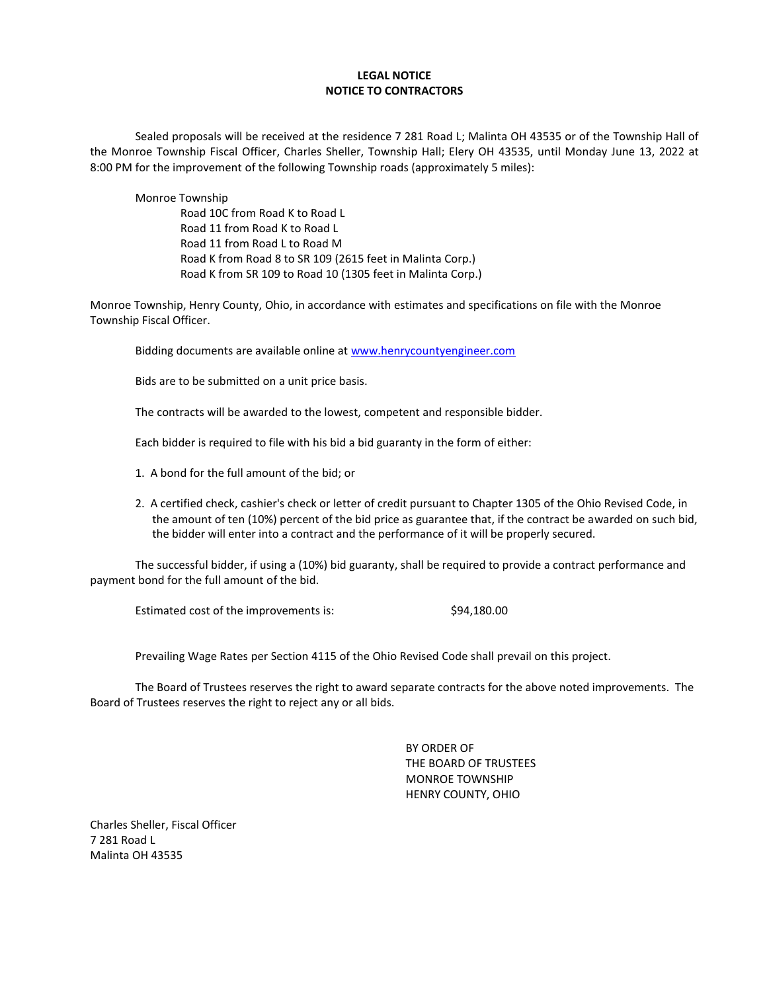### **LEGAL NOTICE NOTICE TO CONTRACTORS**

Sealed proposals will be received at the residence 7 281 Road L; Malinta OH 43535 or of the Township Hall of the Monroe Township Fiscal Officer, Charles Sheller, Township Hall; Elery OH 43535, until Monday June 13, 2022 at 8:00 PM for the improvement of the following Township roads (approximately 5 miles):

Monroe Township

Road 10C from Road K to Road L Road 11 from Road K to Road L Road 11 from Road L to Road M Road K from Road 8 to SR 109 (2615 feet in Malinta Corp.) Road K from SR 109 to Road 10 (1305 feet in Malinta Corp.)

Monroe Township, Henry County, Ohio, in accordance with estimates and specifications on file with the Monroe Township Fiscal Officer.

Bidding documents are available online at [www.henrycountyengineer.com](http://www.henrycountyengineer.com/)

Bids are to be submitted on a unit price basis.

The contracts will be awarded to the lowest, competent and responsible bidder.

Each bidder is required to file with his bid a bid guaranty in the form of either:

- 1. A bond for the full amount of the bid; or
- 2. A certified check, cashier's check or letter of credit pursuant to Chapter 1305 of the Ohio Revised Code, in the amount of ten (10%) percent of the bid price as guarantee that, if the contract be awarded on such bid, the bidder will enter into a contract and the performance of it will be properly secured.

The successful bidder, if using a (10%) bid guaranty, shall be required to provide a contract performance and payment bond for the full amount of the bid.

Estimated cost of the improvements is:  $$94,180.00$ 

Prevailing Wage Rates per Section 4115 of the Ohio Revised Code shall prevail on this project.

The Board of Trustees reserves the right to award separate contracts for the above noted improvements. The Board of Trustees reserves the right to reject any or all bids.

> BY ORDER OF THE BOARD OF TRUSTEES MONROE TOWNSHIP HENRY COUNTY, OHIO

Charles Sheller, Fiscal Officer 7 281 Road L Malinta OH 43535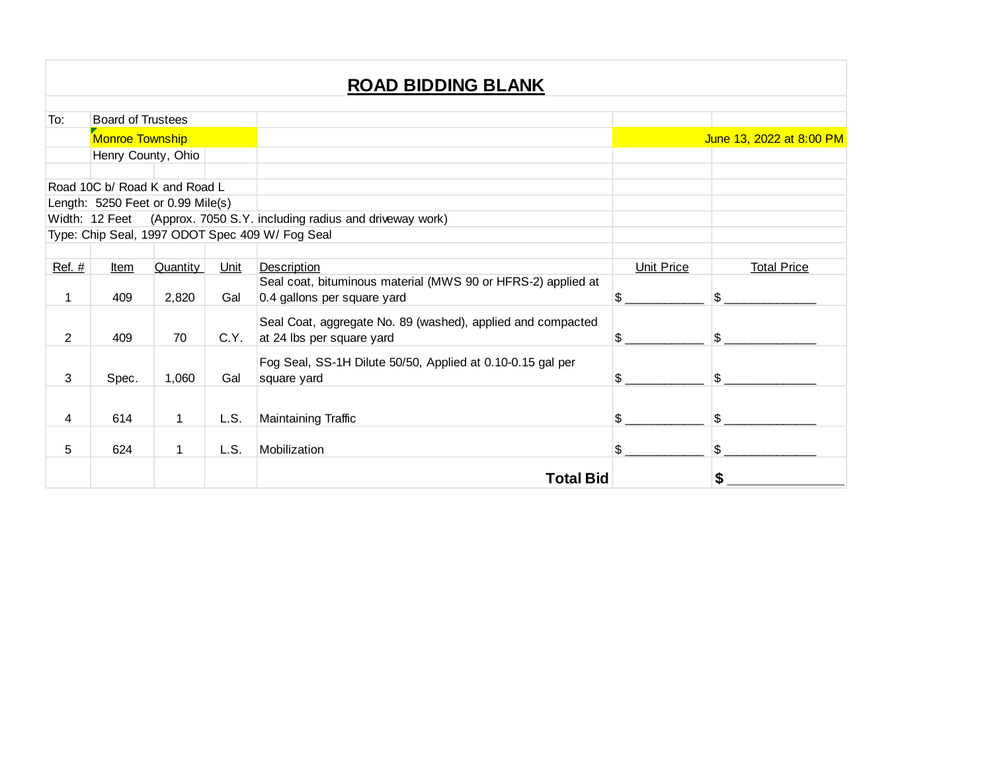| To:      | <b>Board of Trustees</b> |                                   |      |                                                              |                   |                          |
|----------|--------------------------|-----------------------------------|------|--------------------------------------------------------------|-------------------|--------------------------|
|          | Monroe Township          |                                   |      |                                                              |                   | June 13, 2022 at 8:00 PM |
|          |                          | Henry County, Ohio                |      |                                                              |                   |                          |
|          |                          |                                   |      |                                                              |                   |                          |
|          |                          | Road 10C b/ Road K and Road L     |      |                                                              |                   |                          |
|          |                          | Length: 5250 Feet or 0.99 Mile(s) |      |                                                              |                   |                          |
|          | Width: 12 Feet           |                                   |      | (Approx. 7050 S.Y. including radius and driveway work)       |                   |                          |
|          |                          |                                   |      | Type: Chip Seal, 1997 ODOT Spec 409 W/ Fog Seal              |                   |                          |
|          |                          |                                   |      |                                                              |                   |                          |
| $Ref.$ # | <u>Item</u>              | Quantity                          | Unit | Description                                                  | <b>Unit Price</b> | <b>Total Price</b>       |
|          |                          |                                   |      | Seal coat, bituminous material (MWS 90 or HFRS-2) applied at |                   |                          |
| 1        | 409                      | 2,820                             | Gal  | 0.4 gallons per square yard                                  | ß.                | \$.                      |
|          |                          |                                   |      | Seal Coat, aggregate No. 89 (washed), applied and compacted  |                   |                          |
| 2        | 409                      | 70                                | C.Y. | at 24 lbs per square yard                                    | \$.               | \$.                      |
|          |                          |                                   |      |                                                              |                   |                          |
| 3        |                          |                                   |      | Fog Seal, SS-1H Dilute 50/50, Applied at 0.10-0.15 gal per   | \$.               | \$.                      |
|          | Spec.                    | 1,060                             | Gal  | square yard                                                  |                   |                          |
|          |                          |                                   |      |                                                              |                   |                          |
| 4        | 614                      | $\mathbf{1}$                      | L.S. | Maintaining Traffic                                          |                   | \$.                      |
|          |                          |                                   |      |                                                              |                   |                          |
| 5        | 624                      | 1                                 | L.S. | Mobilization                                                 |                   | \$.                      |
|          |                          |                                   |      | <b>Total Bid</b>                                             |                   | S                        |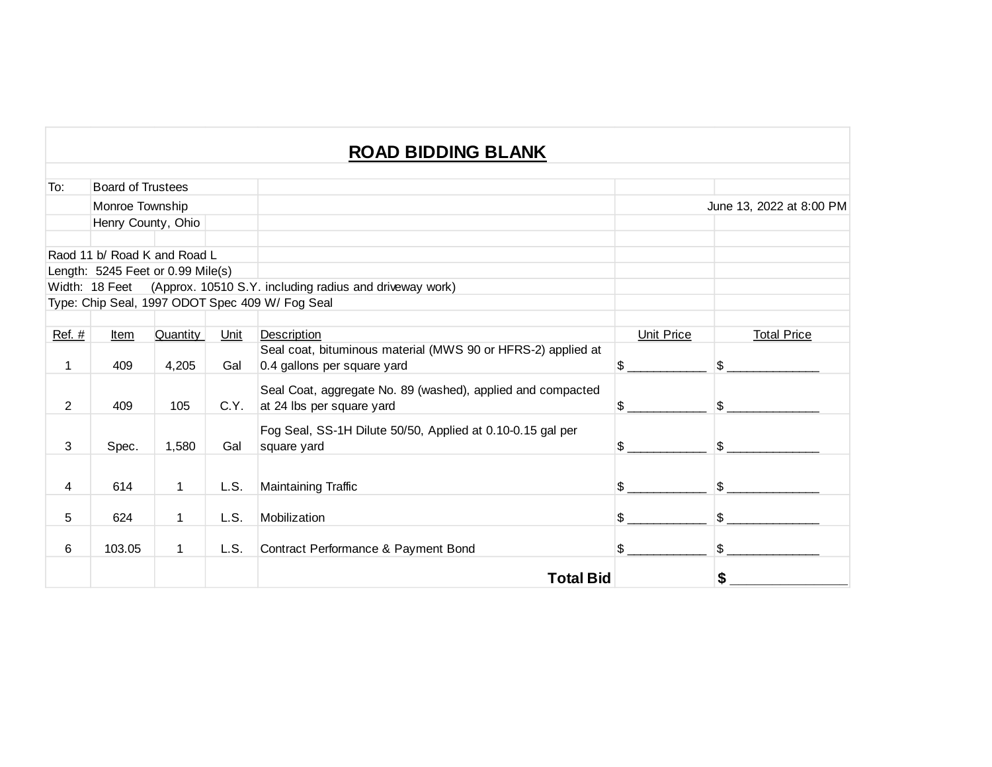| To:                               | <b>Board of Trustees</b>     |                 |      |                                                                        |                          |                    |
|-----------------------------------|------------------------------|-----------------|------|------------------------------------------------------------------------|--------------------------|--------------------|
|                                   | Monroe Township              |                 |      |                                                                        | June 13, 2022 at 8:00 PM |                    |
|                                   | Henry County, Ohio           |                 |      |                                                                        |                          |                    |
|                                   |                              |                 |      |                                                                        |                          |                    |
|                                   | Raod 11 b/ Road K and Road L |                 |      |                                                                        |                          |                    |
| Length: 5245 Feet or 0.99 Mile(s) |                              |                 |      |                                                                        |                          |                    |
|                                   |                              |                 |      | Width: 18 Feet (Approx. 10510 S.Y. including radius and driveway work) |                          |                    |
|                                   |                              |                 |      | Type: Chip Seal, 1997 ODOT Spec 409 W/ Fog Seal                        |                          |                    |
| Ref. $#$                          | Item                         | <b>Quantity</b> | Unit | Description                                                            | <b>Unit Price</b>        | <b>Total Price</b> |
|                                   |                              |                 |      | Seal coat, bituminous material (MWS 90 or HFRS-2) applied at           |                          |                    |
| 1                                 | 409                          | 4,205           | Gal  | 0.4 gallons per square yard                                            | \$                       |                    |
|                                   |                              |                 |      | Seal Coat, aggregate No. 89 (washed), applied and compacted            |                          |                    |
| 2                                 | 409                          | 105             | C.Y. | at 24 lbs per square yard                                              | \$                       |                    |
|                                   |                              |                 |      | Fog Seal, SS-1H Dilute 50/50, Applied at 0.10-0.15 gal per             |                          |                    |
| 3                                 | Spec.                        | 1,580           | Gal  | square yard                                                            | \$                       |                    |
|                                   |                              |                 |      |                                                                        |                          |                    |
| 4                                 | 614                          | $\mathbf{1}$    | L.S. | Maintaining Traffic                                                    | \$                       |                    |
|                                   |                              | $\mathbf{1}$    |      | Mobilization                                                           | \$                       |                    |
| 5                                 | 624                          |                 | L.S. |                                                                        |                          |                    |
| 6                                 | 103.05                       | $\mathbf{1}$    | L.S. | Contract Performance & Payment Bond                                    | \$                       |                    |
|                                   |                              |                 |      | <b>Total Bid</b>                                                       |                          |                    |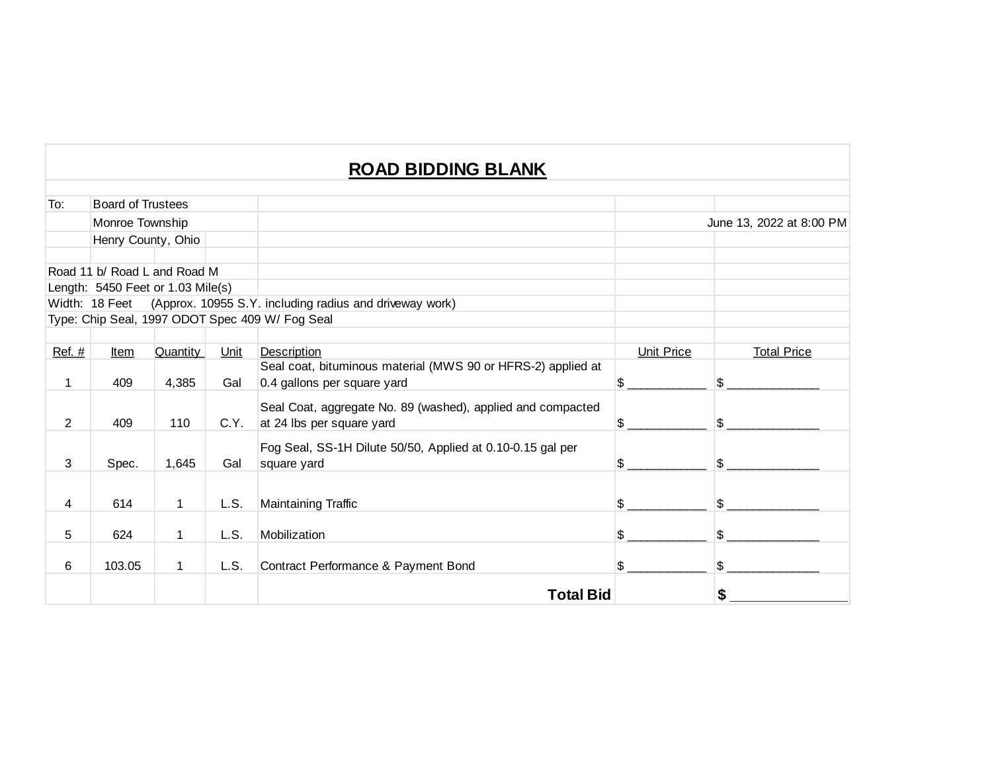| To:                          | <b>Board of Trustees</b>          |                  |      |                                                                                                                           |                   |                          |
|------------------------------|-----------------------------------|------------------|------|---------------------------------------------------------------------------------------------------------------------------|-------------------|--------------------------|
|                              | Monroe Township                   |                  |      |                                                                                                                           |                   | June 13, 2022 at 8:00 PM |
|                              | Henry County, Ohio                |                  |      |                                                                                                                           |                   |                          |
|                              |                                   |                  |      |                                                                                                                           |                   |                          |
| Road 11 b/ Road L and Road M |                                   |                  |      |                                                                                                                           |                   |                          |
|                              | Length: 5450 Feet or 1.03 Mile(s) |                  |      |                                                                                                                           |                   |                          |
|                              |                                   |                  |      | Width: 18 Feet (Approx. 10955 S.Y. including radius and driveway work)<br>Type: Chip Seal, 1997 ODOT Spec 409 W/ Fog Seal |                   |                          |
|                              |                                   |                  |      |                                                                                                                           |                   |                          |
| Ref. $#$                     | <u>Item</u>                       | <b>Quantity</b>  | Unit | Description                                                                                                               | <b>Unit Price</b> | <b>Total Price</b>       |
|                              |                                   |                  |      | Seal coat, bituminous material (MWS 90 or HFRS-2) applied at                                                              |                   |                          |
| 1                            | 409                               | 4,385            | Gal  | 0.4 gallons per square yard                                                                                               | S.                | $\mathbb{S}$             |
|                              |                                   |                  |      | Seal Coat, aggregate No. 89 (washed), applied and compacted                                                               |                   |                          |
| 2                            | 409                               | 110              | C.Y. | at 24 lbs per square yard                                                                                                 | \$                |                          |
|                              |                                   |                  |      | Fog Seal, SS-1H Dilute 50/50, Applied at 0.10-0.15 gal per                                                                |                   |                          |
| 3                            | Spec.                             | 1,645            | Gal  | square yard                                                                                                               | \$                |                          |
|                              |                                   |                  |      |                                                                                                                           |                   |                          |
| 4                            | 614                               | $\mathbf{1}$     | L.S. |                                                                                                                           | \$                | \$.                      |
|                              |                                   |                  |      | <b>Maintaining Traffic</b>                                                                                                |                   |                          |
| 5                            | 624                               | $\mathbf{1}$     | L.S. | Mobilization                                                                                                              | \$                |                          |
|                              |                                   |                  |      |                                                                                                                           |                   |                          |
| 6                            | 103.05                            | $\mathbf 1$      | L.S. | Contract Performance & Payment Bond                                                                                       | \$                | \$.                      |
|                              |                                   | <b>Total Bid</b> |      |                                                                                                                           |                   |                          |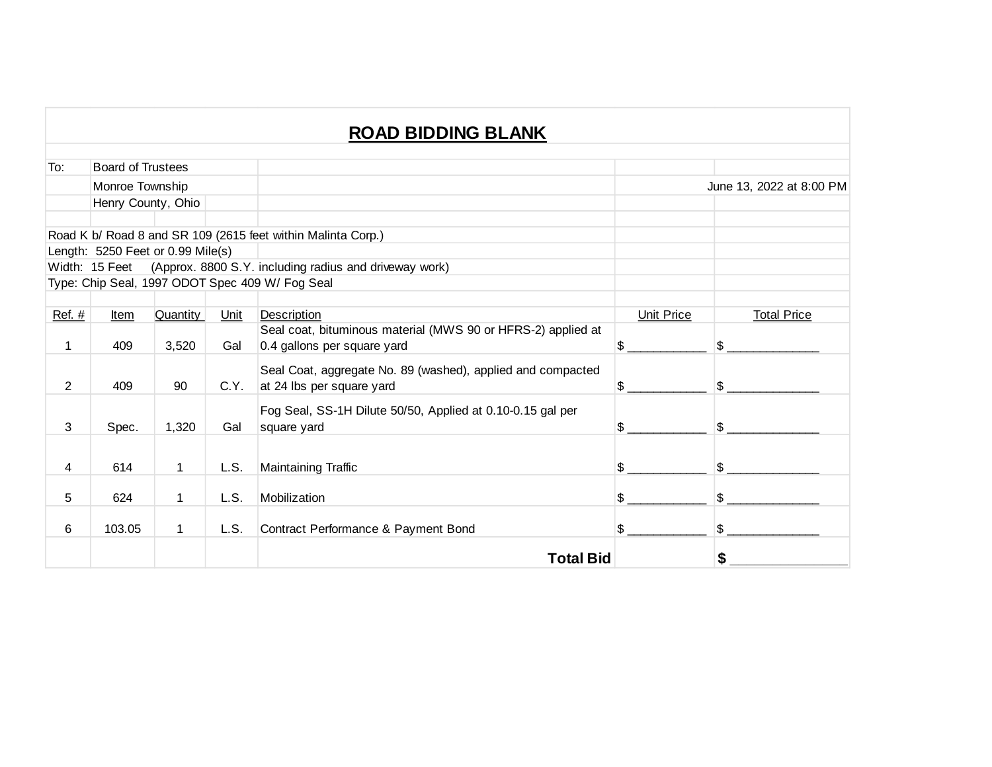|                |                                   |              |      | <b>ROAD BIDDING BLANK</b>                                    |                          |                    |
|----------------|-----------------------------------|--------------|------|--------------------------------------------------------------|--------------------------|--------------------|
| To:            |                                   |              |      |                                                              |                          |                    |
|                | <b>Board of Trustees</b>          |              |      |                                                              |                          |                    |
|                | Monroe Township                   |              |      |                                                              | June 13, 2022 at 8:00 PM |                    |
|                | Henry County, Ohio                |              |      |                                                              |                          |                    |
|                |                                   |              |      | Road K b/ Road 8 and SR 109 (2615 feet within Malinta Corp.) |                          |                    |
|                | Length: 5250 Feet or 0.99 Mile(s) |              |      |                                                              |                          |                    |
|                | Width: 15 Feet                    |              |      | (Approx. 8800 S.Y. including radius and driveway work)       |                          |                    |
|                |                                   |              |      | Type: Chip Seal, 1997 ODOT Spec 409 W/ Fog Seal              |                          |                    |
|                |                                   |              |      |                                                              |                          |                    |
| Ref. #         | Item                              | Quantity     | Unit | Description                                                  | <b>Unit Price</b>        | <b>Total Price</b> |
|                |                                   |              |      | Seal coat, bituminous material (MWS 90 or HFRS-2) applied at |                          |                    |
| $\mathbf{1}$   | 409                               | 3,520        | Gal  | 0.4 gallons per square yard                                  | $\mathfrak{F}$           | \$                 |
|                |                                   |              |      | Seal Coat, aggregate No. 89 (washed), applied and compacted  |                          |                    |
| $\overline{2}$ | 409                               | 90           | C.Y. | at 24 lbs per square yard                                    | \$                       |                    |
|                |                                   |              |      |                                                              |                          |                    |
|                |                                   |              |      | Fog Seal, SS-1H Dilute 50/50, Applied at 0.10-0.15 gal per   |                          |                    |
| 3              | Spec.                             | 1,320        | Gal  | square yard                                                  | \$                       |                    |
|                |                                   |              |      |                                                              |                          |                    |
| 4              | 614                               | $\mathbf{1}$ | L.S. | Maintaining Traffic                                          | \$                       | \$.                |
|                |                                   |              |      |                                                              |                          |                    |
| 5              | 624                               | $\mathbf{1}$ | L.S. | Mobilization                                                 | \$                       | \$.                |
| 6              | 103.05                            | $\mathbf{1}$ | L.S. | Contract Performance & Payment Bond                          | \$                       | \$.                |
|                |                                   |              |      | <b>Total Bid</b>                                             |                          | \$                 |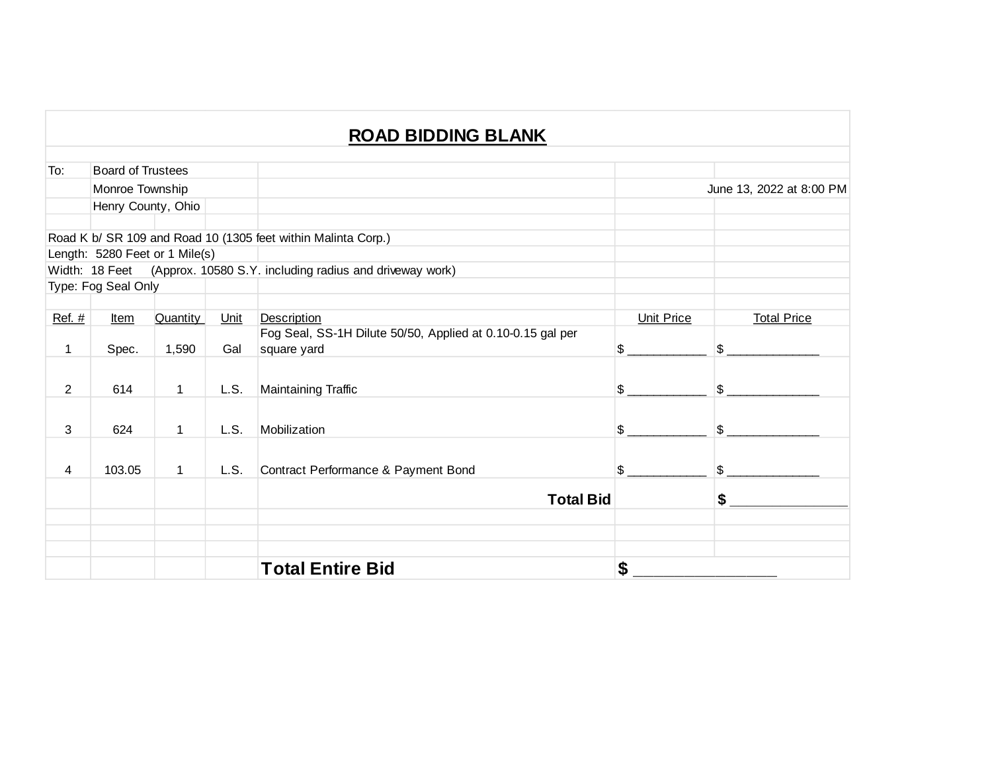| To:      | <b>Board of Trustees</b>       |                 |      |                                                               |            |                          |
|----------|--------------------------------|-----------------|------|---------------------------------------------------------------|------------|--------------------------|
|          | Monroe Township                |                 |      |                                                               |            | June 13, 2022 at 8:00 PM |
|          | Henry County, Ohio             |                 |      |                                                               |            |                          |
|          |                                |                 |      |                                                               |            |                          |
|          |                                |                 |      | Road K b/ SR 109 and Road 10 (1305 feet within Malinta Corp.) |            |                          |
|          | Length: 5280 Feet or 1 Mile(s) |                 |      |                                                               |            |                          |
|          | Width: 18 Feet                 |                 |      | (Approx. 10580 S.Y. including radius and driveway work)       |            |                          |
|          | Type: Fog Seal Only            |                 |      |                                                               |            |                          |
|          |                                |                 |      |                                                               |            |                          |
| Ref. $#$ | Item                           | <b>Quantity</b> | Unit | Description                                                   | Unit Price | <b>Total Price</b>       |
|          |                                |                 |      | Fog Seal, SS-1H Dilute 50/50, Applied at 0.10-0.15 gal per    |            |                          |
| 1        | Spec.                          | 1,590           | Gal  | square yard                                                   | \$         | \$.                      |
|          |                                |                 |      |                                                               |            |                          |
| 2        | 614                            | $\mathbf{1}$    | L.S. | Maintaining Traffic                                           | \$.        | \$.                      |
|          |                                |                 |      |                                                               |            |                          |
|          |                                |                 |      |                                                               |            |                          |
| 3        | 624                            | 1               | L.S. | Mobilization                                                  | \$         | \$.                      |
|          |                                |                 |      |                                                               |            |                          |
| 4        | 103.05                         | 1               | L.S. | Contract Performance & Payment Bond                           | \$         | \$.                      |
|          |                                |                 |      |                                                               |            |                          |
|          |                                |                 |      | <b>Total Bid</b>                                              |            | \$                       |
|          |                                |                 |      |                                                               |            |                          |
|          |                                |                 |      |                                                               |            |                          |
|          |                                |                 |      |                                                               |            |                          |
|          |                                |                 |      | <b>Total Entire Bid</b>                                       | S          |                          |
|          |                                |                 |      |                                                               |            |                          |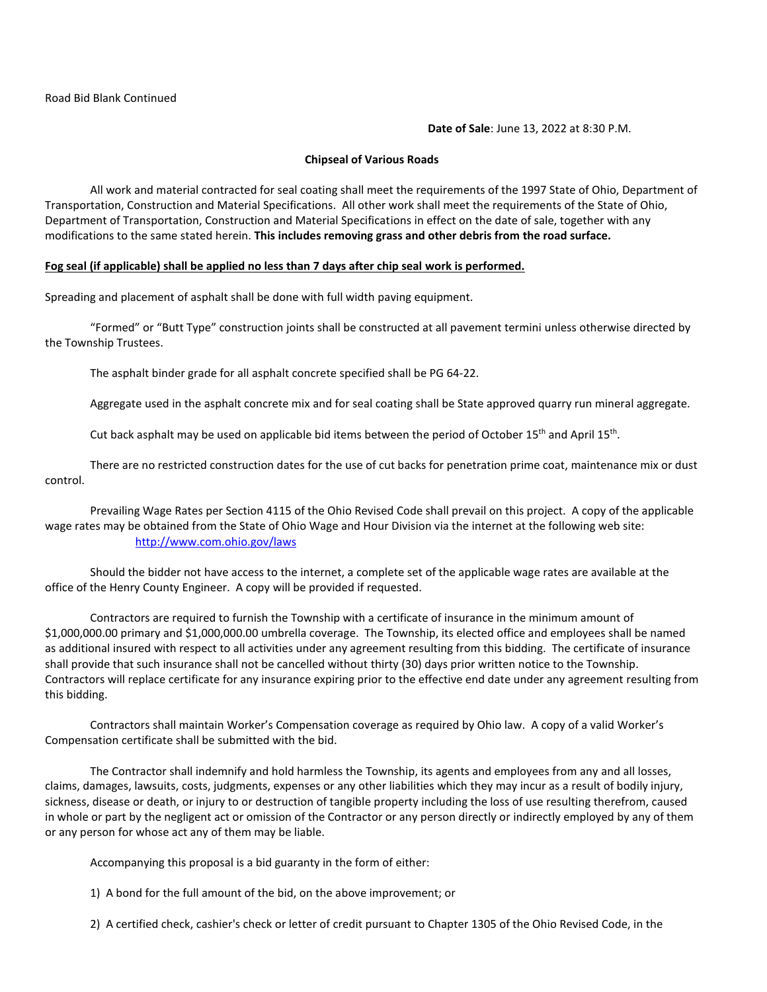**Date of Sale**: June 13, 2022 at 8:30 P.M.

#### **Chipseal of Various Roads**

All work and material contracted for seal coating shall meet the requirements of the 1997 State of Ohio, Department of Transportation, Construction and Material Specifications. All other work shall meet the requirements of the State of Ohio, Department of Transportation, Construction and Material Specifications in effect on the date of sale, together with any modifications to the same stated herein. **This includes removing grass and other debris from the road surface.**

#### **Fog seal (if applicable) shall be applied no less than 7 days after chip seal work is performed.**

Spreading and placement of asphalt shall be done with full width paving equipment.

"Formed" or "Butt Type" construction joints shall be constructed at all pavement termini unless otherwise directed by the Township Trustees.

The asphalt binder grade for all asphalt concrete specified shall be PG 64-22.

Aggregate used in the asphalt concrete mix and for seal coating shall be State approved quarry run mineral aggregate.

Cut back asphalt may be used on applicable bid items between the period of October 15<sup>th</sup> and April 15<sup>th</sup>.

There are no restricted construction dates for the use of cut backs for penetration prime coat, maintenance mix or dust control.

Prevailing Wage Rates per Section 4115 of the Ohio Revised Code shall prevail on this project. A copy of the applicable wage rates may be obtained from the State of Ohio Wage and Hour Division via the internet at the following web site: <http://www.com.ohio.gov/laws>

Should the bidder not have access to the internet, a complete set of the applicable wage rates are available at the office of the Henry County Engineer. A copy will be provided if requested.

Contractors are required to furnish the Township with a certificate of insurance in the minimum amount of \$1,000,000.00 primary and \$1,000,000.00 umbrella coverage. The Township, its elected office and employees shall be named as additional insured with respect to all activities under any agreement resulting from this bidding. The certificate of insurance shall provide that such insurance shall not be cancelled without thirty (30) days prior written notice to the Township. Contractors will replace certificate for any insurance expiring prior to the effective end date under any agreement resulting from this bidding.

Contractors shall maintain Worker's Compensation coverage as required by Ohio law. A copy of a valid Worker's Compensation certificate shall be submitted with the bid.

The Contractor shall indemnify and hold harmless the Township, its agents and employees from any and all losses, claims, damages, lawsuits, costs, judgments, expenses or any other liabilities which they may incur as a result of bodily injury, sickness, disease or death, or injury to or destruction of tangible property including the loss of use resulting therefrom, caused in whole or part by the negligent act or omission of the Contractor or any person directly or indirectly employed by any of them or any person for whose act any of them may be liable.

Accompanying this proposal is a bid guaranty in the form of either:

1) A bond for the full amount of the bid, on the above improvement; or

2) A certified check, cashier's check or letter of credit pursuant to Chapter 1305 of the Ohio Revised Code, in the